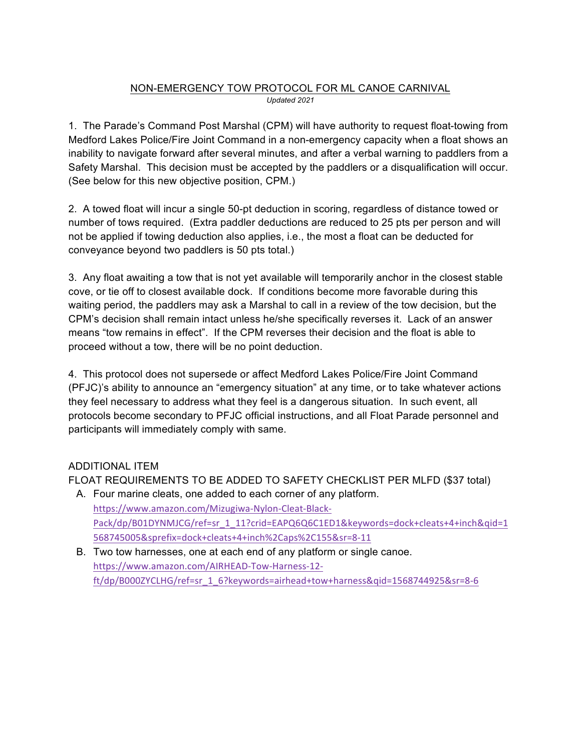#### NON-EMERGENCY TOW PROTOCOL FOR ML CANOE CARNIVAL *Updated 2021*

1. The Parade's Command Post Marshal (CPM) will have authority to request float-towing from Medford Lakes Police/Fire Joint Command in a non-emergency capacity when a float shows an inability to navigate forward after several minutes, and after a verbal warning to paddlers from a Safety Marshal. This decision must be accepted by the paddlers or a disqualification will occur. (See below for this new objective position, CPM.)

2. A towed float will incur a single 50-pt deduction in scoring, regardless of distance towed or number of tows required. (Extra paddler deductions are reduced to 25 pts per person and will not be applied if towing deduction also applies, i.e., the most a float can be deducted for conveyance beyond two paddlers is 50 pts total.)

3. Any float awaiting a tow that is not yet available will temporarily anchor in the closest stable cove, or tie off to closest available dock. If conditions become more favorable during this waiting period, the paddlers may ask a Marshal to call in a review of the tow decision, but the CPM's decision shall remain intact unless he/she specifically reverses it. Lack of an answer means "tow remains in effect". If the CPM reverses their decision and the float is able to proceed without a tow, there will be no point deduction.

4. This protocol does not supersede or affect Medford Lakes Police/Fire Joint Command (PFJC)'s ability to announce an "emergency situation" at any time, or to take whatever actions they feel necessary to address what they feel is a dangerous situation. In such event, all protocols become secondary to PFJC official instructions, and all Float Parade personnel and participants will immediately comply with same.

# ADDITIONAL ITEM

FLOAT REQUIREMENTS TO BE ADDED TO SAFETY CHECKLIST PER MLFD (\$37 total)

- A. Four marine cleats, one added to each corner of any platform. https://www.amazon.com/Mizugiwa-Nylon-Cleat-Black-Pack/dp/B01DYNMJCG/ref=sr\_1\_11?crid=EAPQ6Q6C1ED1&keywords=dock+cleats+4+inch&qid=1 568745005&sprefix=dock+cleats+4+inch%2Caps%2C155&sr=8-11
- B. Two tow harnesses, one at each end of any platform or single canoe. https://www.amazon.com/AIRHEAD-Tow-Harness-12 ft/dp/B000ZYCLHG/ref=sr\_1\_6?keywords=airhead+tow+harness&qid=1568744925&sr=8-6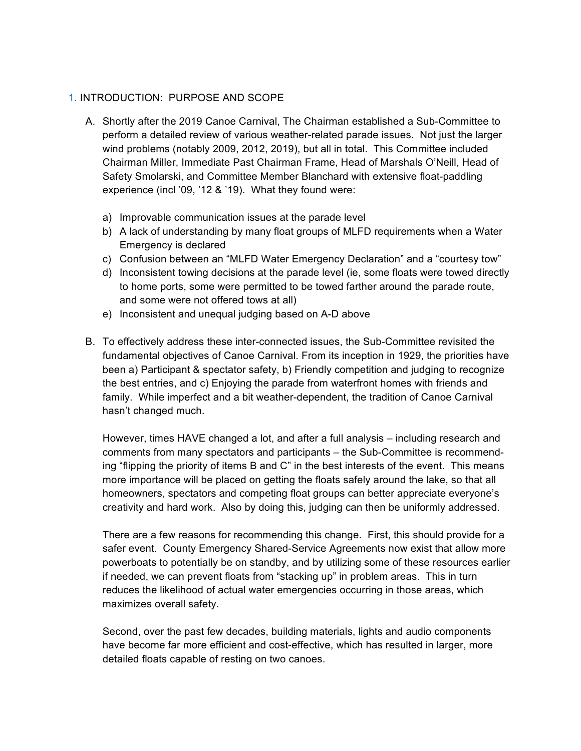#### 1. INTRODUCTION: PURPOSE AND SCOPE

- A. Shortly after the 2019 Canoe Carnival, The Chairman established a Sub-Committee to perform a detailed review of various weather-related parade issues. Not just the larger wind problems (notably 2009, 2012, 2019), but all in total. This Committee included Chairman Miller, Immediate Past Chairman Frame, Head of Marshals O'Neill, Head of Safety Smolarski, and Committee Member Blanchard with extensive float-paddling experience (incl '09, '12 & '19). What they found were:
	- a) Improvable communication issues at the parade level
	- b) A lack of understanding by many float groups of MLFD requirements when a Water Emergency is declared
	- c) Confusion between an "MLFD Water Emergency Declaration" and a "courtesy tow"
	- d) Inconsistent towing decisions at the parade level (ie, some floats were towed directly to home ports, some were permitted to be towed farther around the parade route, and some were not offered tows at all)
	- e) Inconsistent and unequal judging based on A-D above
- B. To effectively address these inter-connected issues, the Sub-Committee revisited the fundamental objectives of Canoe Carnival. From its inception in 1929, the priorities have been a) Participant & spectator safety, b) Friendly competition and judging to recognize the best entries, and c) Enjoying the parade from waterfront homes with friends and family. While imperfect and a bit weather-dependent, the tradition of Canoe Carnival hasn't changed much.

However, times HAVE changed a lot, and after a full analysis – including research and comments from many spectators and participants – the Sub-Committee is recommending "flipping the priority of items B and C" in the best interests of the event. This means more importance will be placed on getting the floats safely around the lake, so that all homeowners, spectators and competing float groups can better appreciate everyone's creativity and hard work. Also by doing this, judging can then be uniformly addressed.

There are a few reasons for recommending this change. First, this should provide for a safer event. County Emergency Shared-Service Agreements now exist that allow more powerboats to potentially be on standby, and by utilizing some of these resources earlier if needed, we can prevent floats from "stacking up" in problem areas. This in turn reduces the likelihood of actual water emergencies occurring in those areas, which maximizes overall safety.

Second, over the past few decades, building materials, lights and audio components have become far more efficient and cost-effective, which has resulted in larger, more detailed floats capable of resting on two canoes.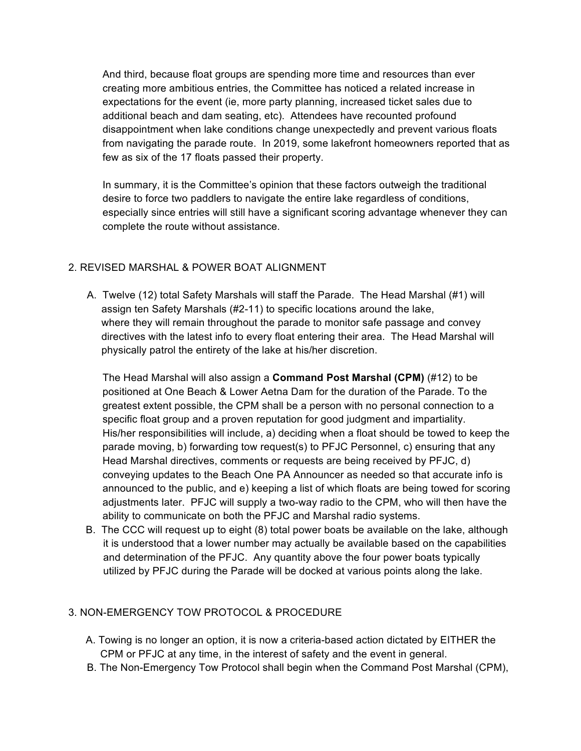And third, because float groups are spending more time and resources than ever creating more ambitious entries, the Committee has noticed a related increase in expectations for the event (ie, more party planning, increased ticket sales due to additional beach and dam seating, etc). Attendees have recounted profound disappointment when lake conditions change unexpectedly and prevent various floats from navigating the parade route. In 2019, some lakefront homeowners reported that as few as six of the 17 floats passed their property.

In summary, it is the Committee's opinion that these factors outweigh the traditional desire to force two paddlers to navigate the entire lake regardless of conditions, especially since entries will still have a significant scoring advantage whenever they can complete the route without assistance.

# 2. REVISED MARSHAL & POWER BOAT ALIGNMENT

A. Twelve (12) total Safety Marshals will staff the Parade. The Head Marshal (#1) will assign ten Safety Marshals (#2-11) to specific locations around the lake, where they will remain throughout the parade to monitor safe passage and convey directives with the latest info to every float entering their area. The Head Marshal will physically patrol the entirety of the lake at his/her discretion.

The Head Marshal will also assign a **Command Post Marshal (CPM)** (#12) to be positioned at One Beach & Lower Aetna Dam for the duration of the Parade. To the greatest extent possible, the CPM shall be a person with no personal connection to a specific float group and a proven reputation for good judgment and impartiality. His/her responsibilities will include, a) deciding when a float should be towed to keep the parade moving, b) forwarding tow request(s) to PFJC Personnel, c) ensuring that any Head Marshal directives, comments or requests are being received by PFJC, d) conveying updates to the Beach One PA Announcer as needed so that accurate info is announced to the public, and e) keeping a list of which floats are being towed for scoring adjustments later. PFJC will supply a two-way radio to the CPM, who will then have the ability to communicate on both the PFJC and Marshal radio systems.

 B. The CCC will request up to eight (8) total power boats be available on the lake, although it is understood that a lower number may actually be available based on the capabilities and determination of the PFJC. Any quantity above the four power boats typically utilized by PFJC during the Parade will be docked at various points along the lake.

# 3. NON-EMERGENCY TOW PROTOCOL & PROCEDURE

- A. Towing is no longer an option, it is now a criteria-based action dictated by EITHER the CPM or PFJC at any time, in the interest of safety and the event in general.
- B. The Non-Emergency Tow Protocol shall begin when the Command Post Marshal (CPM),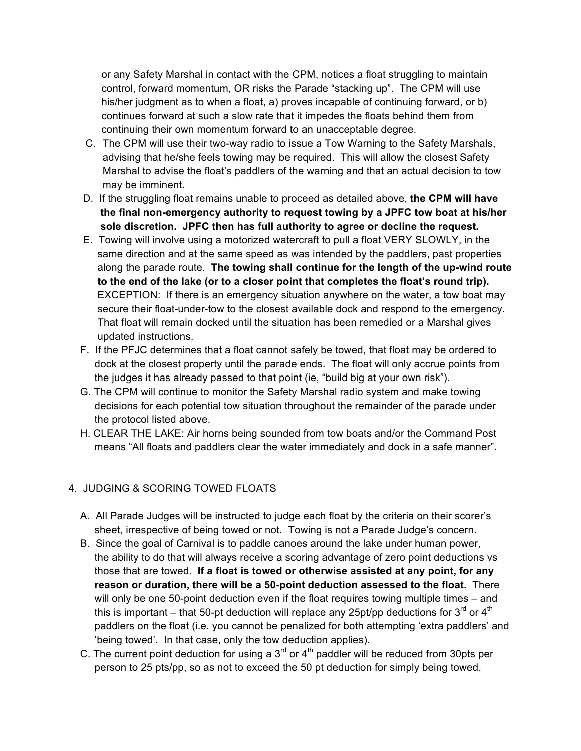or any Safety Marshal in contact with the CPM, notices a float struggling to maintain control, forward momentum, OR risks the Parade "stacking up". The CPM will use his/her judgment as to when a float, a) proves incapable of continuing forward, or b) continues forward at such a slow rate that it impedes the floats behind them from continuing their own momentum forward to an unacceptable degree.

- C. The CPM will use their two-way radio to issue a Tow Warning to the Safety Marshals, advising that he/she feels towing may be required. This will allow the closest Safety Marshal to advise the float's paddlers of the warning and that an actual decision to tow may be imminent.
- D. If the struggling float remains unable to proceed as detailed above, **the CPM will have the final non-emergency authority to request towing by a JPFC tow boat at his/her sole discretion. JPFC then has full authority to agree or decline the request.**
- E. Towing will involve using a motorized watercraft to pull a float VERY SLOWLY, in the same direction and at the same speed as was intended by the paddlers, past properties along the parade route. **The towing shall continue for the length of the up-wind route to the end of the lake (or to a closer point that completes the float's round trip).** EXCEPTION: If there is an emergency situation anywhere on the water, a tow boat may secure their float-under-tow to the closest available dock and respond to the emergency. That float will remain docked until the situation has been remedied or a Marshal gives updated instructions.
- F. If the PFJC determines that a float cannot safely be towed, that float may be ordered to dock at the closest property until the parade ends. The float will only accrue points from the judges it has already passed to that point (ie, "build big at your own risk").
- G. The CPM will continue to monitor the Safety Marshal radio system and make towing decisions for each potential tow situation throughout the remainder of the parade under the protocol listed above.
- H. CLEAR THE LAKE: Air horns being sounded from tow boats and/or the Command Post means "All floats and paddlers clear the water immediately and dock in a safe manner".

# 4. JUDGING & SCORING TOWED FLOATS

- A. All Parade Judges will be instructed to judge each float by the criteria on their scorer's sheet, irrespective of being towed or not. Towing is not a Parade Judge's concern.
- B. Since the goal of Carnival is to paddle canoes around the lake under human power, the ability to do that will always receive a scoring advantage of zero point deductions vs those that are towed. **If a float is towed or otherwise assisted at any point, for any reason or duration, there will be a 50-point deduction assessed to the float.** There will only be one 50-point deduction even if the float requires towing multiple times – and this is important – that 50-pt deduction will replace any 25pt/pp deductions for 3<sup>rd</sup> or 4<sup>th</sup> paddlers on the float (i.e. you cannot be penalized for both attempting 'extra paddlers' and 'being towed'. In that case, only the tow deduction applies).
- C. The current point deduction for using a  $3<sup>rd</sup>$  or 4<sup>th</sup> paddler will be reduced from 30pts per person to 25 pts/pp, so as not to exceed the 50 pt deduction for simply being towed.